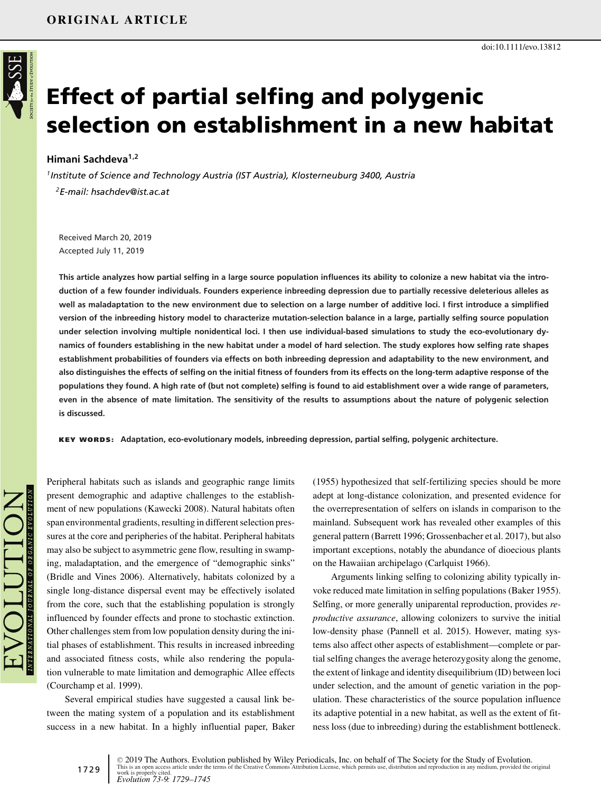

# **Effect of partial selfing and polygenic selection on establishment in a new habitat**

### **Himani Sachdeva1,2**

*1Institute of Science and Technology Austria (IST Austria), Klosterneuburg 3400, Austria 2E-mail: hsachdev@ist.ac.at*

Received March 20, 2019 Accepted July 11, 2019

**This article analyzes how partial selfing in a large source population influences its ability to colonize a new habitat via the introduction of a few founder individuals. Founders experience inbreeding depression due to partially recessive deleterious alleles as well as maladaptation to the new environment due to selection on a large number of additive loci. I first introduce a simplified version of the inbreeding history model to characterize mutation-selection balance in a large, partially selfing source population under selection involving multiple nonidentical loci. I then use individual-based simulations to study the eco-evolutionary dynamics of founders establishing in the new habitat under a model of hard selection. The study explores how selfing rate shapes establishment probabilities of founders via effects on both inbreeding depression and adaptability to the new environment, and also distinguishes the effects of selfing on the initial fitness of founders from its effects on the long-term adaptive response of the populations they found. A high rate of (but not complete) selfing is found to aid establishment over a wide range of parameters, even in the absence of mate limitation. The sensitivity of the results to assumptions about the nature of polygenic selection is discussed.**

**KEY WORDS: Adaptation, eco-evolutionary models, inbreeding depression, partial selfing, polygenic architecture.**

Peripheral habitats such as islands and geographic range limits present demographic and adaptive challenges to the establishment of new populations (Kawecki 2008). Natural habitats often span environmental gradients, resulting in different selection pressures at the core and peripheries of the habitat. Peripheral habitats may also be subject to asymmetric gene flow, resulting in swamping, maladaptation, and the emergence of "demographic sinks" (Bridle and Vines 2006). Alternatively, habitats colonized by a single long-distance dispersal event may be effectively isolated from the core, such that the establishing population is strongly influenced by founder effects and prone to stochastic extinction. Other challenges stem from low population density during the initial phases of establishment. This results in increased inbreeding and associated fitness costs, while also rendering the population vulnerable to mate limitation and demographic Allee effects (Courchamp et al. 1999).

Several empirical studies have suggested a causal link between the mating system of a population and its establishment success in a new habitat. In a highly influential paper, Baker (1955) hypothesized that self-fertilizing species should be more adept at long-distance colonization, and presented evidence for the overrepresentation of selfers on islands in comparison to the mainland. Subsequent work has revealed other examples of this general pattern (Barrett 1996; Grossenbacher et al. 2017), but also important exceptions, notably the abundance of dioecious plants on the Hawaiian archipelago (Carlquist 1966).

doi:10.1111/evo.13812

Arguments linking selfing to colonizing ability typically invoke reduced mate limitation in selfing populations (Baker 1955). Selfing, or more generally uniparental reproduction, provides *reproductive assurance*, allowing colonizers to survive the initial low-density phase (Pannell et al. 2015). However, mating systems also affect other aspects of establishment—complete or partial selfing changes the average heterozygosity along the genome, the extent of linkage and identity disequilibrium (ID) between loci under selection, and the amount of genetic variation in the population. These characteristics of the source population influence its adaptive potential in a new habitat, as well as the extent of fitness loss (due to inbreeding) during the establishment bottleneck.

1729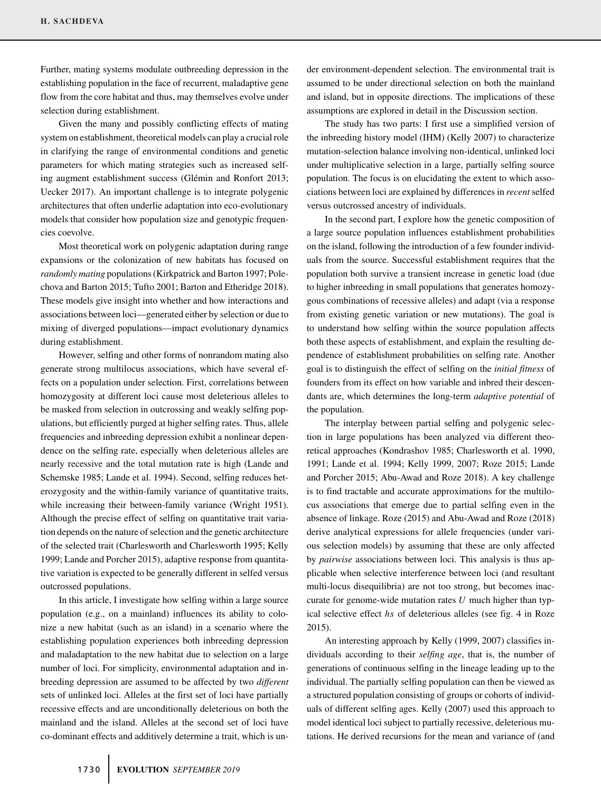Further, mating systems modulate outbreeding depression in the establishing population in the face of recurrent, maladaptive gene flow from the core habitat and thus, may themselves evolve under selection during establishment.

Given the many and possibly conflicting effects of mating system on establishment, theoretical models can play a crucial role in clarifying the range of environmental conditions and genetic parameters for which mating strategies such as increased selfing augment establishment success (Glémin and Ronfort 2013; Uecker 2017). An important challenge is to integrate polygenic architectures that often underlie adaptation into eco-evolutionary models that consider how population size and genotypic frequencies coevolve.

Most theoretical work on polygenic adaptation during range expansions or the colonization of new habitats has focused on *randomly mating* populations (Kirkpatrick and Barton 1997; Polechova and Barton 2015; Tufto 2001; Barton and Etheridge 2018). These models give insight into whether and how interactions and associations between loci—generated either by selection or due to mixing of diverged populations—impact evolutionary dynamics during establishment.

However, selfing and other forms of nonrandom mating also generate strong multilocus associations, which have several effects on a population under selection. First, correlations between homozygosity at different loci cause most deleterious alleles to be masked from selection in outcrossing and weakly selfing populations, but efficiently purged at higher selfing rates. Thus, allele frequencies and inbreeding depression exhibit a nonlinear dependence on the selfing rate, especially when deleterious alleles are nearly recessive and the total mutation rate is high (Lande and Schemske 1985; Lande et al. 1994). Second, selfing reduces heterozygosity and the within-family variance of quantitative traits, while increasing their between-family variance (Wright 1951). Although the precise effect of selfing on quantitative trait variation depends on the nature of selection and the genetic architecture of the selected trait (Charlesworth and Charlesworth 1995; Kelly 1999; Lande and Porcher 2015), adaptive response from quantitative variation is expected to be generally different in selfed versus outcrossed populations.

In this article, I investigate how selfing within a large source population (e.g., on a mainland) influences its ability to colonize a new habitat (such as an island) in a scenario where the establishing population experiences both inbreeding depression and maladaptation to the new habitat due to selection on a large number of loci. For simplicity, environmental adaptation and inbreeding depression are assumed to be affected by two *different* sets of unlinked loci. Alleles at the first set of loci have partially recessive effects and are unconditionally deleterious on both the mainland and the island. Alleles at the second set of loci have co-dominant effects and additively determine a trait, which is under environment-dependent selection. The environmental trait is assumed to be under directional selection on both the mainland and island, but in opposite directions. The implications of these assumptions are explored in detail in the Discussion section.

The study has two parts: I first use a simplified version of the inbreeding history model (IHM) (Kelly 2007) to characterize mutation-selection balance involving non-identical, unlinked loci under multiplicative selection in a large, partially selfing source population. The focus is on elucidating the extent to which associations between loci are explained by differences in *recent* selfed versus outcrossed ancestry of individuals.

In the second part, I explore how the genetic composition of a large source population influences establishment probabilities on the island, following the introduction of a few founder individuals from the source. Successful establishment requires that the population both survive a transient increase in genetic load (due to higher inbreeding in small populations that generates homozygous combinations of recessive alleles) and adapt (via a response from existing genetic variation or new mutations). The goal is to understand how selfing within the source population affects both these aspects of establishment, and explain the resulting dependence of establishment probabilities on selfing rate. Another goal is to distinguish the effect of selfing on the *initial fitness* of founders from its effect on how variable and inbred their descendants are, which determines the long-term *adaptive potential* of the population.

The interplay between partial selfing and polygenic selection in large populations has been analyzed via different theoretical approaches (Kondrashov 1985; Charlesworth et al. 1990, 1991; Lande et al. 1994; Kelly 1999, 2007; Roze 2015; Lande and Porcher 2015; Abu-Awad and Roze 2018). A key challenge is to find tractable and accurate approximations for the multilocus associations that emerge due to partial selfing even in the absence of linkage. Roze (2015) and Abu-Awad and Roze (2018) derive analytical expressions for allele frequencies (under various selection models) by assuming that these are only affected by *pairwise* associations between loci. This analysis is thus applicable when selective interference between loci (and resultant multi-locus disequilibria) are not too strong, but becomes inaccurate for genome-wide mutation rates *U* much higher than typical selective effect *hs* of deleterious alleles (see fig. 4 in Roze 2015).

An interesting approach by Kelly (1999, 2007) classifies individuals according to their *selfing age*, that is, the number of generations of continuous selfing in the lineage leading up to the individual. The partially selfing population can then be viewed as a structured population consisting of groups or cohorts of individuals of different selfing ages. Kelly (2007) used this approach to model identical loci subject to partially recessive, deleterious mutations. He derived recursions for the mean and variance of (and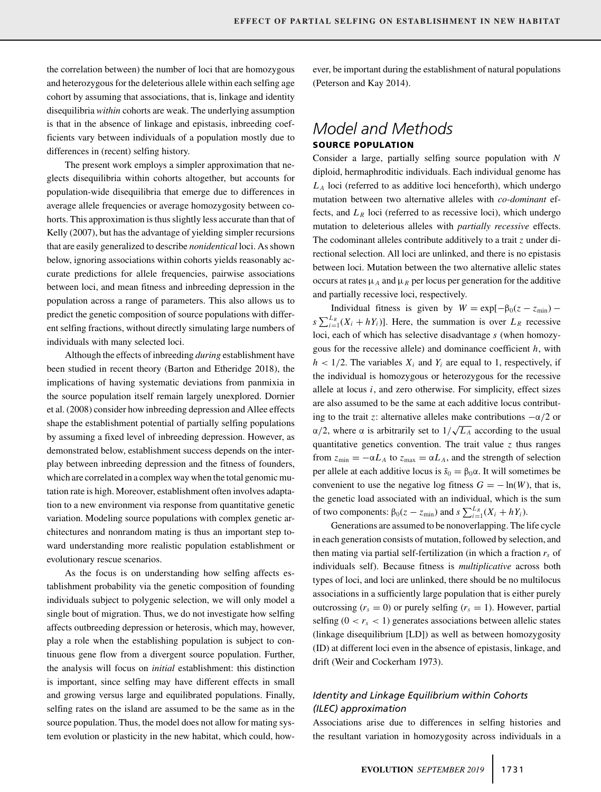the correlation between) the number of loci that are homozygous and heterozygous for the deleterious allele within each selfing age cohort by assuming that associations, that is, linkage and identity disequilibria *within* cohorts are weak. The underlying assumption is that in the absence of linkage and epistasis, inbreeding coefficients vary between individuals of a population mostly due to differences in (recent) selfing history.

The present work employs a simpler approximation that neglects disequilibria within cohorts altogether, but accounts for population-wide disequilibria that emerge due to differences in average allele frequencies or average homozygosity between cohorts. This approximation is thus slightly less accurate than that of Kelly (2007), but has the advantage of yielding simpler recursions that are easily generalized to describe *nonidentical* loci. As shown below, ignoring associations within cohorts yields reasonably accurate predictions for allele frequencies, pairwise associations between loci, and mean fitness and inbreeding depression in the population across a range of parameters. This also allows us to predict the genetic composition of source populations with different selfing fractions, without directly simulating large numbers of individuals with many selected loci.

Although the effects of inbreeding *during* establishment have been studied in recent theory (Barton and Etheridge 2018), the implications of having systematic deviations from panmixia in the source population itself remain largely unexplored. Dornier et al. (2008) consider how inbreeding depression and Allee effects shape the establishment potential of partially selfing populations by assuming a fixed level of inbreeding depression. However, as demonstrated below, establishment success depends on the interplay between inbreeding depression and the fitness of founders, which are correlated in a complex way when the total genomic mutation rate is high. Moreover, establishment often involves adaptation to a new environment via response from quantitative genetic variation. Modeling source populations with complex genetic architectures and nonrandom mating is thus an important step toward understanding more realistic population establishment or evolutionary rescue scenarios.

As the focus is on understanding how selfing affects establishment probability via the genetic composition of founding individuals subject to polygenic selection, we will only model a single bout of migration. Thus, we do not investigate how selfing affects outbreeding depression or heterosis, which may, however, play a role when the establishing population is subject to continuous gene flow from a divergent source population. Further, the analysis will focus on *initial* establishment: this distinction is important, since selfing may have different effects in small and growing versus large and equilibrated populations. Finally, selfing rates on the island are assumed to be the same as in the source population. Thus, the model does not allow for mating system evolution or plasticity in the new habitat, which could, however, be important during the establishment of natural populations (Peterson and Kay 2014).

# *Model and Methods* **SOURCE POPULATION**

Consider a large, partially selfing source population with *N* diploid, hermaphroditic individuals. Each individual genome has *L <sup>A</sup>* loci (referred to as additive loci henceforth), which undergo mutation between two alternative alleles with *co-dominant* effects, and  $L_R$  loci (referred to as recessive loci), which undergo mutation to deleterious alleles with *partially recessive* effects. The codominant alleles contribute additively to a trait *z* under directional selection. All loci are unlinked, and there is no epistasis between loci. Mutation between the two alternative allelic states occurs at rates  $\mu_A$  and  $\mu_B$  per locus per generation for the additive and partially recessive loci, respectively.

Individual fitness is given by  $W = \exp[-\beta_0(z - z_{\min}))$  –  $s \sum_{i=1}^{L_R} (X_i + hY_i)$ . Here, the summation is over  $L_R$  recessive loci, each of which has selective disadvantage *s* (when homozygous for the recessive allele) and dominance coefficient *h*, with  $h$  < 1/2. The variables  $X_i$  and  $Y_i$  are equal to 1, respectively, if the individual is homozygous or heterozygous for the recessive allele at locus *i*, and zero otherwise. For simplicity, effect sizes are also assumed to be the same at each additive locus contributing to the trait *z*: alternative alleles make contributions  $-\alpha/2$  or  $\alpha/2$ , where α is arbitrarily set to  $1/\sqrt{L_A}$  according to the usual quantitative genetics convention. The trait value *z* thus ranges from  $z_{\text{min}} = -\alpha L_A$  to  $z_{\text{max}} = \alpha L_A$ , and the strength of selection per allele at each additive locus is  $\tilde{s}_0 = \beta_0 \alpha$ . It will sometimes be convenient to use the negative log fitness  $G = -\ln(W)$ , that is, the genetic load associated with an individual, which is the sum of two components:  $β_0(z - z_{min})$  and  $s \sum_{i=1}^{L_R} (X_i + hY_i)$ .

Generations are assumed to be nonoverlapping. The life cycle in each generation consists of mutation, followed by selection, and then mating via partial self-fertilization (in which a fraction  $r<sub>s</sub>$  of individuals self). Because fitness is *multiplicative* across both types of loci, and loci are unlinked, there should be no multilocus associations in a sufficiently large population that is either purely outcrossing  $(r_s = 0)$  or purely selfing  $(r_s = 1)$ . However, partial selfing  $(0 < r_s < 1)$  generates associations between allelic states (linkage disequilibrium [LD]) as well as between homozygosity (ID) at different loci even in the absence of epistasis, linkage, and drift (Weir and Cockerham 1973).

# *Identity and Linkage Equilibrium within Cohorts (ILEC) approximation*

Associations arise due to differences in selfing histories and the resultant variation in homozygosity across individuals in a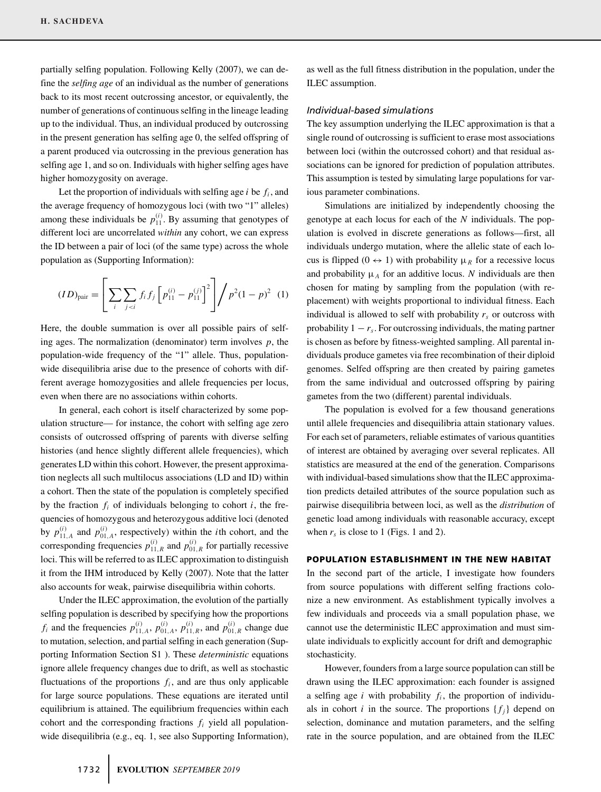partially selfing population. Following Kelly (2007), we can define the *selfing age* of an individual as the number of generations back to its most recent outcrossing ancestor, or equivalently, the number of generations of continuous selfing in the lineage leading up to the individual. Thus, an individual produced by outcrossing in the present generation has selfing age 0, the selfed offspring of a parent produced via outcrossing in the previous generation has selfing age 1, and so on. Individuals with higher selfing ages have higher homozygosity on average.

Let the proportion of individuals with selfing age  $i$  be  $f_i$ , and the average frequency of homozygous loci (with two "1" alleles) among these individuals be  $p_{11}^{(i)}$ . By assuming that genotypes of different loci are uncorrelated *within* any cohort, we can express the ID between a pair of loci (of the same type) across the whole population as (Supporting Information):

$$
(ID)_{pair} = \left[ \sum_{i} \sum_{j < i} f_i f_j \left[ p_{11}^{(i)} - p_{11}^{(j)} \right]^2 \right] / p^2 (1 - p)^2 \tag{1}
$$

Here, the double summation is over all possible pairs of selfing ages. The normalization (denominator) term involves *p*, the population-wide frequency of the "1" allele. Thus, populationwide disequilibria arise due to the presence of cohorts with different average homozygosities and allele frequencies per locus, even when there are no associations within cohorts.

In general, each cohort is itself characterized by some population structure— for instance, the cohort with selfing age zero consists of outcrossed offspring of parents with diverse selfing histories (and hence slightly different allele frequencies), which generates LD within this cohort. However, the present approximation neglects all such multilocus associations (LD and ID) within a cohort. Then the state of the population is completely specified by the fraction  $f_i$  of individuals belonging to cohort  $i$ , the frequencies of homozygous and heterozygous additive loci (denoted by  $p_{11,A}^{(i)}$  and  $p_{01,A}^{(i)}$ , respectively) within the *i*th cohort, and the corresponding frequencies  $p_{11,R}^{(i)}$  and  $p_{01,R}^{(i)}$  for partially recessive loci. This will be referred to as ILEC approximation to distinguish it from the IHM introduced by Kelly (2007). Note that the latter also accounts for weak, pairwise disequilibria within cohorts.

Under the ILEC approximation, the evolution of the partially selfing population is described by specifying how the proportions *f<sub>i</sub>* and the frequencies  $p_{11, A}^{(i)}$ ,  $p_{01, A}^{(i)}$ ,  $p_{11, R}^{(i)}$ , and  $p_{01, R}^{(i)}$  change due to mutation, selection, and partial selfing in each generation (Supporting Information Section S1 ). These *deterministic* equations ignore allele frequency changes due to drift, as well as stochastic fluctuations of the proportions  $f_i$ , and are thus only applicable for large source populations. These equations are iterated until equilibrium is attained. The equilibrium frequencies within each cohort and the corresponding fractions  $f_i$  yield all populationwide disequilibria (e.g., eq. 1, see also Supporting Information),

as well as the full fitness distribution in the population, under the ILEC assumption.

#### *Individual-based simulations*

The key assumption underlying the ILEC approximation is that a single round of outcrossing is sufficient to erase most associations between loci (within the outcrossed cohort) and that residual associations can be ignored for prediction of population attributes. This assumption is tested by simulating large populations for various parameter combinations.

Simulations are initialized by independently choosing the genotype at each locus for each of the *N* individuals. The population is evolved in discrete generations as follows—first, all individuals undergo mutation, where the allelic state of each locus is flipped  $(0 \leftrightarrow 1)$  with probability  $\mu_R$  for a recessive locus and probability  $\mu_A$  for an additive locus. *N* individuals are then chosen for mating by sampling from the population (with replacement) with weights proportional to individual fitness. Each individual is allowed to self with probability  $r<sub>s</sub>$  or outcross with probability  $1 - r_s$ . For outcrossing individuals, the mating partner is chosen as before by fitness-weighted sampling. All parental individuals produce gametes via free recombination of their diploid genomes. Selfed offspring are then created by pairing gametes from the same individual and outcrossed offspring by pairing gametes from the two (different) parental individuals.

The population is evolved for a few thousand generations until allele frequencies and disequilibria attain stationary values. For each set of parameters, reliable estimates of various quantities of interest are obtained by averaging over several replicates. All statistics are measured at the end of the generation. Comparisons with individual-based simulations show that the ILEC approximation predicts detailed attributes of the source population such as pairwise disequilibria between loci, as well as the *distribution* of genetic load among individuals with reasonable accuracy, except when  $r_s$  is close to 1 (Figs. 1 and 2).

#### **POPULATION ESTABLISHMENT IN THE NEW HABITAT**

In the second part of the article, I investigate how founders from source populations with different selfing fractions colonize a new environment. As establishment typically involves a few individuals and proceeds via a small population phase, we cannot use the deterministic ILEC approximation and must simulate individuals to explicitly account for drift and demographic stochasticity.

However, founders from a large source population can still be drawn using the ILEC approximation: each founder is assigned a selfing age  $i$  with probability  $f_i$ , the proportion of individuals in cohort *i* in the source. The proportions  $\{f_i\}$  depend on selection, dominance and mutation parameters, and the selfing rate in the source population, and are obtained from the ILEC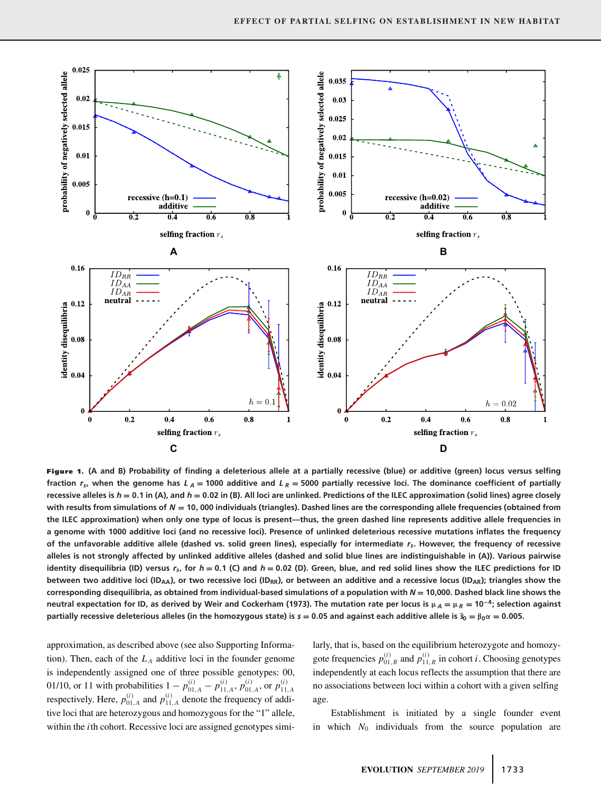

**Figure 1. (A and B) Probability of finding a deleterious allele at a partially recessive (blue) or additive (green) locus versus selfing** fraction  $r_s$ , when the genome has  $L_A$  = 1000 additive and  $L_R$  = 5000 partially recessive loci. The dominance coefficient of partially **recessive alleles is** *h* **= 0.1 in (A), and** *h* **= 0.02 in (B). All loci are unlinked. Predictions of the ILEC approximation (solid lines) agree closely with results from simulations of** *N* **= 10, 000 individuals (triangles). Dashed lines are the corresponding allele frequencies (obtained from the ILEC approximation) when only one type of locus is present—thus, the green dashed line represents additive allele frequencies in a genome with 1000 additive loci (and no recessive loci). Presence of unlinked deleterious recessive mutations inflates the frequency of the unfavorable additive allele (dashed vs. solid green lines), especially for intermediate** *rs***. However, the frequency of recessive alleles is not strongly affected by unlinked additive alleles (dashed and solid blue lines are indistinguishable in (A)). Various pairwise** identity disequilibria (ID) versus  $r_s$ , for  $h = 0.1$  (C) and  $h = 0.02$  (D). Green, blue, and red solid lines show the ILEC predictions for ID between two additive loci (ID<sub>AA</sub>), or two recessive loci (ID<sub>RR</sub>), or between an additive and a recessive locus (ID<sub>AR</sub>); triangles show the **corresponding disequilibria, as obtained from individual-based simulations of a population with** *N* **= 10,000. Dashed black line shows the neutral expectation for ID, as derived by Weir and Cockerham (1973). The mutation rate per locus is**  $\mu_A = \mu_R = 10^{-4}$ **; selection against** partially recessive deleterious alleles (in the homozygous state) is  $s = 0.05$  and against each additive allele is  $\tilde{s}_0 = \beta_0 \alpha = 0.005$ .

approximation, as described above (see also Supporting Information). Then, each of the  $L_A$  additive loci in the founder genome is independently assigned one of three possible genotypes: 00, 01/10, or 11 with probabilities  $1 - p_{01,A}^{(i)} - p_{11,A}^{(i)}$ ,  $p_{01,A}^{(i)}$  or  $p_{11,A}^{(i)}$  respectively. Here,  $p_{01,A}^{(i)}$  and  $p_{11,A}^{(i)}$  denote the frequency of additive loci that are heterozygous and homozygous for the "1" allele, within the *i*th cohort. Recessive loci are assigned genotypes similarly, that is, based on the equilibrium heterozygote and homozygote frequencies  $p_{01,R}^{(i)}$  and  $p_{11,R}^{(i)}$  in cohort *i*. Choosing genotypes independently at each locus reflects the assumption that there are no associations between loci within a cohort with a given selfing age.

Establishment is initiated by a single founder event in which  $N_0$  individuals from the source population are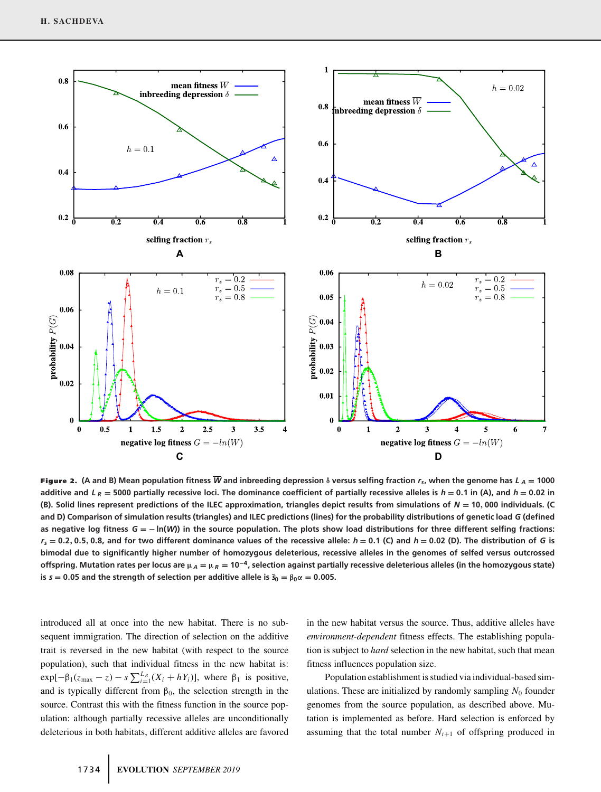

**Figure 2.** (A and B) Mean population fitness  $\overline{W}$  and inbreeding depression  $\delta$  versus selfing fraction  $r_{\rm s}$ , when the genome has  $L_A = 1000$ additive and  $L_R = 5000$  partially recessive loci. The dominance coefficient of partially recessive alleles is  $h = 0.1$  in (A), and  $h = 0.02$  in **(B). Solid lines represent predictions of the ILEC approximation, triangles depict results from simulations of** *N* **= 10, 000 individuals. (C and D) Comparison of simulation results (triangles) and ILEC predictions (lines) for the probability distributions of genetic load** *G* **(defined as negative log fitness** *G* **= − ln(***W***)) in the source population. The plots show load distributions for three different selfing fractions:**  $r_s = 0.2, 0.5, 0.8$ , and for two different dominance values of the recessive allele:  $h = 0.1$  (C) and  $h = 0.02$  (D). The distribution of G is **bimodal due to significantly higher number of homozygous deleterious, recessive alleles in the genomes of selfed versus outcrossed offspring. Mutation rates per locus are**  $\mu_A = \mu_R = 10^{-4}$ , selection against partially recessive deleterious alleles (in the homozygous state) **is**  $s = 0.05$  and the strength of selection per additive allele is  $\tilde{s}_0 = \beta_0 \alpha = 0.005$ .

introduced all at once into the new habitat. There is no subsequent immigration. The direction of selection on the additive trait is reversed in the new habitat (with respect to the source population), such that individual fitness in the new habitat is:  $\exp[-\beta_1(z_{\text{max}} - z) - s \sum_{i=1}^{L_R} (X_i + hY_i)],$  where  $\beta_1$  is positive, and is typically different from  $\beta_0$ , the selection strength in the source. Contrast this with the fitness function in the source population: although partially recessive alleles are unconditionally deleterious in both habitats, different additive alleles are favored in the new habitat versus the source. Thus, additive alleles have *environment-dependent* fitness effects. The establishing population is subject to *hard* selection in the new habitat, such that mean fitness influences population size.

Population establishment is studied via individual-based simulations. These are initialized by randomly sampling  $N_0$  founder genomes from the source population, as described above. Mutation is implemented as before. Hard selection is enforced by assuming that the total number  $N_{t+1}$  of offspring produced in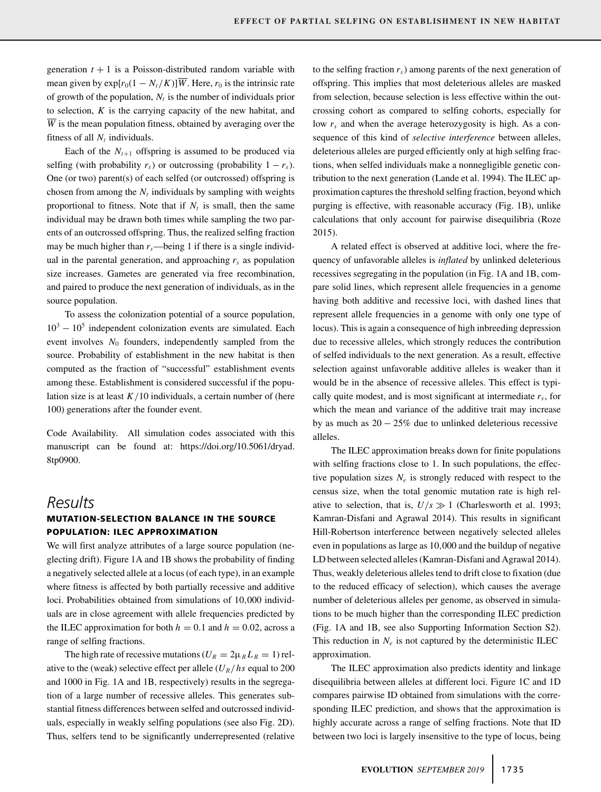generation  $t + 1$  is a Poisson-distributed random variable with mean given by  $\exp[r_0(1 - N_t/K)]\overline{W}$ . Here,  $r_0$  is the intrinsic rate of growth of the population,  $N_t$  is the number of individuals prior to selection, *K* is the carrying capacity of the new habitat, and  $\overline{W}$  is the mean population fitness, obtained by averaging over the fitness of all  $N_t$  individuals.

Each of the  $N_{t+1}$  offspring is assumed to be produced via selfing (with probability  $r_s$ ) or outcrossing (probability  $1 - r_s$ ). One (or two) parent(s) of each selfed (or outcrossed) offspring is chosen from among the  $N_t$  individuals by sampling with weights proportional to fitness. Note that if  $N_t$  is small, then the same individual may be drawn both times while sampling the two parents of an outcrossed offspring. Thus, the realized selfing fraction may be much higher than  $r_s$ —being 1 if there is a single individual in the parental generation, and approaching  $r_s$  as population size increases. Gametes are generated via free recombination, and paired to produce the next generation of individuals, as in the source population.

To assess the colonization potential of a source population,  $10^3 - 10^5$  independent colonization events are simulated. Each event involves  $N_0$  founders, independently sampled from the source. Probability of establishment in the new habitat is then computed as the fraction of "successful" establishment events among these. Establishment is considered successful if the population size is at least  $K/10$  individuals, a certain number of (here 100) generations after the founder event.

Code Availability. All simulation codes associated with this manuscript can be found at: [https://doi.org/10.5061/dryad.](https://doi.org/10.5061/dryad.8tp0900) [8tp0900.](https://doi.org/10.5061/dryad.8tp0900)

# *Results*

# **MUTATION-SELECTION BALANCE IN THE SOURCE POPULATION: ILEC APPROXIMATION**

We will first analyze attributes of a large source population (neglecting drift). Figure 1A and 1B shows the probability of finding a negatively selected allele at a locus (of each type), in an example where fitness is affected by both partially recessive and additive loci. Probabilities obtained from simulations of 10*,*000 individuals are in close agreement with allele frequencies predicted by the ILEC approximation for both  $h = 0.1$  and  $h = 0.02$ , across a range of selfing fractions.

The high rate of recessive mutations ( $U_R = 2\mu_R L_R = 1$ ) relative to the (weak) selective effect per allele  $(U_R/hs)$  equal to 200 and 1000 in Fig. 1A and 1B, respectively) results in the segregation of a large number of recessive alleles. This generates substantial fitness differences between selfed and outcrossed individuals, especially in weakly selfing populations (see also Fig. 2D). Thus, selfers tend to be significantly underrepresented (relative to the selfing fraction  $r<sub>s</sub>$ ) among parents of the next generation of offspring. This implies that most deleterious alleles are masked from selection, because selection is less effective within the outcrossing cohort as compared to selfing cohorts, especially for low  $r<sub>s</sub>$  and when the average heterozygosity is high. As a consequence of this kind of *selective interference* between alleles, deleterious alleles are purged efficiently only at high selfing fractions, when selfed individuals make a nonnegligible genetic contribution to the next generation (Lande et al. 1994). The ILEC approximation captures the threshold selfing fraction, beyond which purging is effective, with reasonable accuracy (Fig. 1B), unlike calculations that only account for pairwise disequilibria (Roze 2015).

A related effect is observed at additive loci, where the frequency of unfavorable alleles is *inflated* by unlinked deleterious recessives segregating in the population (in Fig. 1A and 1B, compare solid lines, which represent allele frequencies in a genome having both additive and recessive loci, with dashed lines that represent allele frequencies in a genome with only one type of locus). This is again a consequence of high inbreeding depression due to recessive alleles, which strongly reduces the contribution of selfed individuals to the next generation. As a result, effective selection against unfavorable additive alleles is weaker than it would be in the absence of recessive alleles. This effect is typically quite modest, and is most significant at intermediate  $r<sub>s</sub>$ , for which the mean and variance of the additive trait may increase by as much as  $20 - 25\%$  due to unlinked deleterious recessive alleles.

The ILEC approximation breaks down for finite populations with selfing fractions close to 1. In such populations, the effective population sizes  $N_e$  is strongly reduced with respect to the census size, when the total genomic mutation rate is high relative to selection, that is,  $U/s \gg 1$  (Charlesworth et al. 1993; Kamran-Disfani and Agrawal 2014). This results in significant Hill-Robertson interference between negatively selected alleles even in populations as large as 10*,*000 and the buildup of negative LD between selected alleles (Kamran-Disfani and Agrawal 2014). Thus, weakly deleterious alleles tend to drift close to fixation (due to the reduced efficacy of selection), which causes the average number of deleterious alleles per genome, as observed in simulations to be much higher than the corresponding ILEC prediction (Fig. 1A and 1B, see also Supporting Information Section S2). This reduction in  $N_e$  is not captured by the deterministic ILEC approximation.

The ILEC approximation also predicts identity and linkage disequilibria between alleles at different loci. Figure 1C and 1D compares pairwise ID obtained from simulations with the corresponding ILEC prediction, and shows that the approximation is highly accurate across a range of selfing fractions. Note that ID between two loci is largely insensitive to the type of locus, being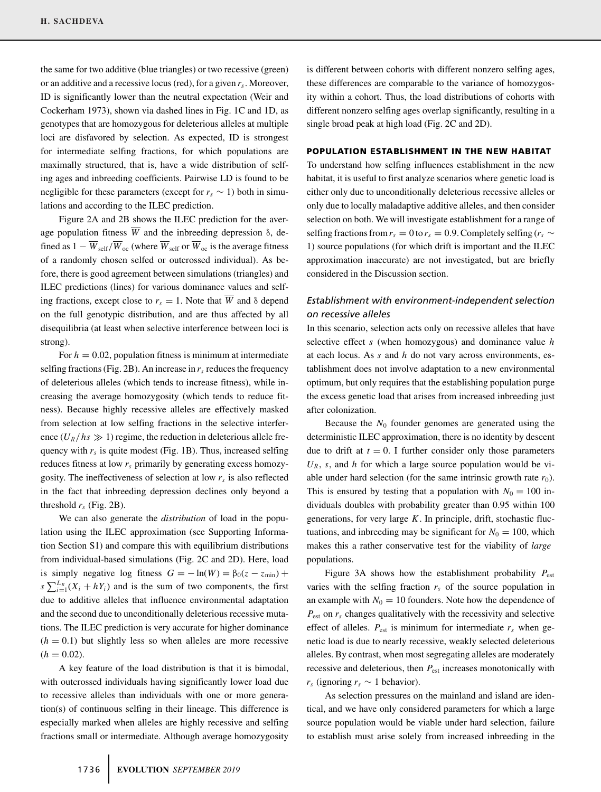the same for two additive (blue triangles) or two recessive (green) or an additive and a recessive locus (red), for a given *rs*. Moreover, ID is significantly lower than the neutral expectation (Weir and Cockerham 1973), shown via dashed lines in Fig. 1C and 1D, as genotypes that are homozygous for deleterious alleles at multiple loci are disfavored by selection. As expected, ID is strongest for intermediate selfing fractions, for which populations are maximally structured, that is, have a wide distribution of selfing ages and inbreeding coefficients. Pairwise LD is found to be negligible for these parameters (except for  $r_s \sim 1$ ) both in simulations and according to the ILEC prediction.

Figure 2A and 2B shows the ILEC prediction for the average population fitness  $\overline{W}$  and the inbreeding depression  $\delta$ , defined as  $1 - \overline{W}_{\text{self}} / \overline{W}_{\text{oc}}$  (where  $\overline{W}_{\text{self}}$  or  $\overline{W}_{\text{oc}}$  is the average fitness of a randomly chosen selfed or outcrossed individual). As before, there is good agreement between simulations (triangles) and ILEC predictions (lines) for various dominance values and selfing fractions, except close to  $r_s = 1$ . Note that  $\overline{W}$  and  $\delta$  depend on the full genotypic distribution, and are thus affected by all disequilibria (at least when selective interference between loci is strong).

For  $h = 0.02$ , population fitness is minimum at intermediate selfing fractions (Fig. 2B). An increase in  $r<sub>s</sub>$  reduces the frequency of deleterious alleles (which tends to increase fitness), while increasing the average homozygosity (which tends to reduce fitness). Because highly recessive alleles are effectively masked from selection at low selfing fractions in the selective interference  $(U_R/hs \gg 1)$  regime, the reduction in deleterious allele frequency with  $r_s$  is quite modest (Fig. 1B). Thus, increased selfing reduces fitness at low *rs* primarily by generating excess homozygosity. The ineffectiveness of selection at low *rs* is also reflected in the fact that inbreeding depression declines only beyond a threshold  $r_s$  (Fig. 2B).

We can also generate the *distribution* of load in the population using the ILEC approximation (see Supporting Information Section S1) and compare this with equilibrium distributions from individual-based simulations (Fig. 2C and 2D). Here, load is simply negative log fitness  $G = -\ln(W) = \beta_0(z - z_{\min}) +$  $s \sum_{i=1}^{L_R} (X_i + hY_i)$  and is the sum of two components, the first due to additive alleles that influence environmental adaptation and the second due to unconditionally deleterious recessive mutations. The ILEC prediction is very accurate for higher dominance  $(h = 0.1)$  but slightly less so when alleles are more recessive  $(h = 0.02)$ .

A key feature of the load distribution is that it is bimodal, with outcrossed individuals having significantly lower load due to recessive alleles than individuals with one or more generation(s) of continuous selfing in their lineage. This difference is especially marked when alleles are highly recessive and selfing fractions small or intermediate. Although average homozygosity

is different between cohorts with different nonzero selfing ages, these differences are comparable to the variance of homozygosity within a cohort. Thus, the load distributions of cohorts with different nonzero selfing ages overlap significantly, resulting in a single broad peak at high load (Fig. 2C and 2D).

#### **POPULATION ESTABLISHMENT IN THE NEW HABITAT**

To understand how selfing influences establishment in the new habitat, it is useful to first analyze scenarios where genetic load is either only due to unconditionally deleterious recessive alleles or only due to locally maladaptive additive alleles, and then consider selection on both. We will investigate establishment for a range of selfing fractions from  $r_s = 0$  to  $r_s = 0.9$ . Completely selfing ( $r_s \sim$ 1) source populations (for which drift is important and the ILEC approximation inaccurate) are not investigated, but are briefly considered in the Discussion section.

# *Establishment with environment-independent selection on recessive alleles*

In this scenario, selection acts only on recessive alleles that have selective effect *s* (when homozygous) and dominance value *h* at each locus. As *s* and *h* do not vary across environments, establishment does not involve adaptation to a new environmental optimum, but only requires that the establishing population purge the excess genetic load that arises from increased inbreeding just after colonization.

Because the  $N_0$  founder genomes are generated using the deterministic ILEC approximation, there is no identity by descent due to drift at  $t = 0$ . I further consider only those parameters  $U_R$ , *s*, and *h* for which a large source population would be viable under hard selection (for the same intrinsic growth rate  $r_0$ ). This is ensured by testing that a population with  $N_0 = 100$  individuals doubles with probability greater than 0.95 within 100 generations, for very large *K*. In principle, drift, stochastic fluctuations, and inbreeding may be significant for  $N_0 = 100$ , which makes this a rather conservative test for the viability of *large* populations.

Figure 3A shows how the establishment probability  $P_{est}$ varies with the selfing fraction  $r<sub>s</sub>$  of the source population in an example with  $N_0 = 10$  founders. Note how the dependence of *P*est on *rs* changes qualitatively with the recessivity and selective effect of alleles.  $P_{est}$  is minimum for intermediate  $r_s$  when genetic load is due to nearly recessive, weakly selected deleterious alleles. By contrast, when most segregating alleles are moderately recessive and deleterious, then  $P_{est}$  increases monotonically with  $r_s$  (ignoring  $r_s \sim 1$  behavior).

As selection pressures on the mainland and island are identical, and we have only considered parameters for which a large source population would be viable under hard selection, failure to establish must arise solely from increased inbreeding in the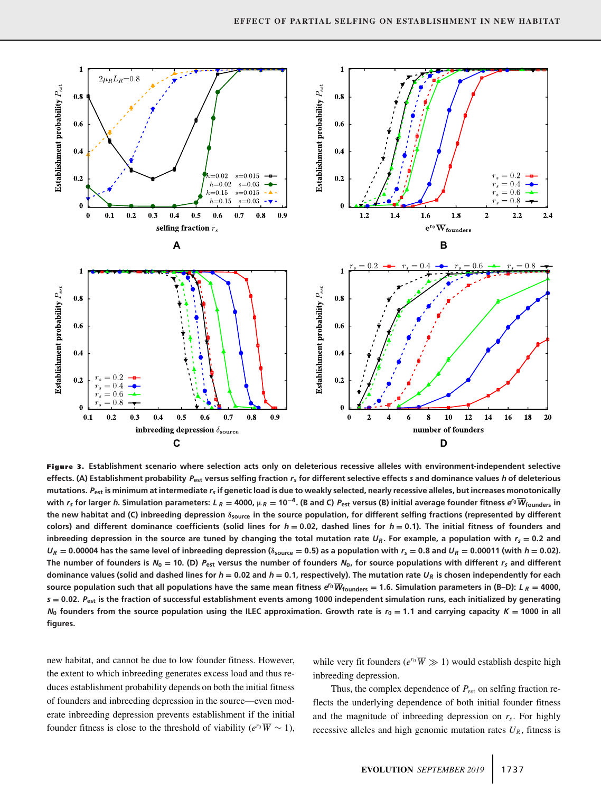

**Figure 3. Establishment scenario where selection acts only on deleterious recessive alleles with environment-independent selective effects. (A) Establishment probability** *P***est versus selfing fraction** *rs* **for different selective effects** *s* **and dominance values** *h* **of deleterious mutations.** *P***est is minimum at intermediate** *rs* **if genetic load is due to weakly selected, nearly recessive alleles, but increases monotonically** with  $r_s$  for larger h. Simulation parameters: L<sub>R</sub> = 4000,  $\mu_R$  = 10<sup>-4</sup>. (B and C)  $P_{est}$  versus (B) initial average founder fitness e<sup>ro</sup>  $\overline{W}_{founders}$  in **the new habitat and (C) inbreeding depression δsource in the source population, for different selfing fractions (represented by different** colors) and different dominance coefficients (solid lines for  $h = 0.02$ , dashed lines for  $h = 0.1$ ). The initial fitness of founders and inbreeding depression in the source are tuned by changing the total mutation rate  $U_R$ . For example, a population with  $r_s = 0.2$  and  $U_R = 0.00004$  has the same level of inbreeding depression ( $\delta_{\text{source}} = 0.5$ ) as a population with  $r_s = 0.8$  and  $U_R = 0.00011$  (with  $h = 0.02$ ). The number of founders is  $N_0 = 10$ . (D)  $P_{est}$  versus the number of founders  $N_0$ , for source populations with different  $r_s$  and different dominance values (solid and dashed lines for  $h = 0.02$  and  $h = 0.1$ , respectively). The mutation rate  $U_R$  is chosen independently for each source population such that all populations have the same mean fitness  $e^{\prime 0} \overline{W}_{\text{founders}} = 1.6$ . Simulation parameters in (B-D):  $L_R = 4000$ , *s* **= 0.02.** *P***est is the fraction of successful establishment events among 1000 independent simulation runs, each initialized by generating**  $N_0$  founders from the source population using the ILEC approximation. Growth rate is  $r_0 = 1.1$  and carrying capacity  $K = 1000$  in all **figures.**

new habitat, and cannot be due to low founder fitness. However, the extent to which inbreeding generates excess load and thus reduces establishment probability depends on both the initial fitness of founders and inbreeding depression in the source—even moderate inbreeding depression prevents establishment if the initial founder fitness is close to the threshold of viability ( $e^{r_0}\overline{W} \sim 1$ ), while very fit founders ( $e^{r_0} \overline{W} \gg 1$ ) would establish despite high inbreeding depression.

Thus, the complex dependence of  $P_{est}$  on selfing fraction reflects the underlying dependence of both initial founder fitness and the magnitude of inbreeding depression on  $r<sub>s</sub>$ . For highly recessive alleles and high genomic mutation rates  $U_R$ , fitness is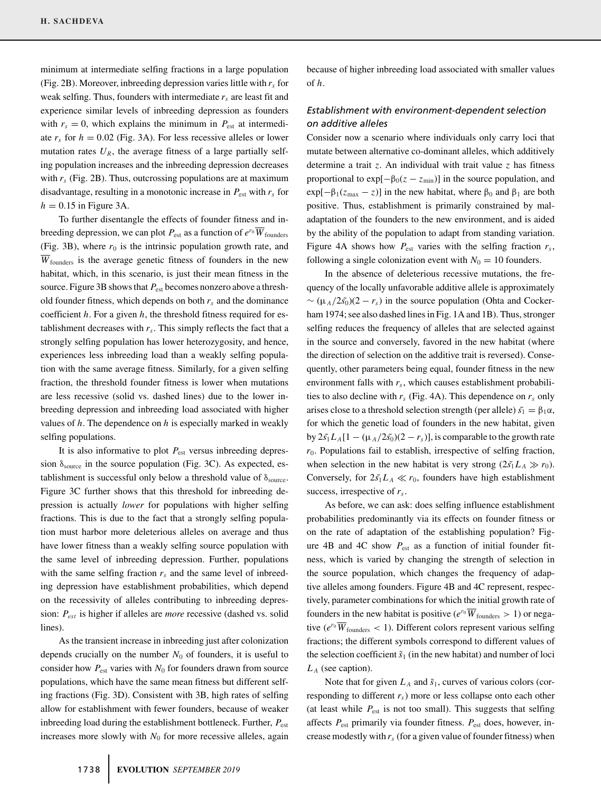minimum at intermediate selfing fractions in a large population (Fig. 2B). Moreover, inbreeding depression varies little with  $r_s$  for weak selfing. Thus, founders with intermediate *rs* are least fit and experience similar levels of inbreeding depression as founders with  $r_s = 0$ , which explains the minimum in  $P_{est}$  at intermediate  $r_s$  for  $h = 0.02$  (Fig. 3A). For less recessive alleles or lower mutation rates  $U_R$ , the average fitness of a large partially selfing population increases and the inbreeding depression decreases with  $r_s$  (Fig. 2B). Thus, outcrossing populations are at maximum disadvantage, resulting in a monotonic increase in  $P_{est}$  with  $r_s$  for  $h = 0.15$  in Figure 3A.

To further disentangle the effects of founder fitness and inbreeding depression, we can plot  $P_{est}$  as a function of  $e^{r_0} \overline{W}_{\text{founders}}$ (Fig. 3B), where  $r_0$  is the intrinsic population growth rate, and *W*founders is the average genetic fitness of founders in the new habitat, which, in this scenario, is just their mean fitness in the source. Figure 3B shows that  $P_{est}$  becomes nonzero above a threshold founder fitness, which depends on both  $r<sub>s</sub>$  and the dominance coefficient *h*. For a given *h*, the threshold fitness required for establishment decreases with  $r<sub>s</sub>$ . This simply reflects the fact that a strongly selfing population has lower heterozygosity, and hence, experiences less inbreeding load than a weakly selfing population with the same average fitness. Similarly, for a given selfing fraction, the threshold founder fitness is lower when mutations are less recessive (solid vs. dashed lines) due to the lower inbreeding depression and inbreeding load associated with higher values of *h*. The dependence on *h* is especially marked in weakly selfing populations.

It is also informative to plot  $P_{est}$  versus inbreeding depression  $\delta_{source}$  in the source population (Fig. 3C). As expected, establishment is successful only below a threshold value of  $\delta_{\text{source}}$ . Figure 3C further shows that this threshold for inbreeding depression is actually *lower* for populations with higher selfing fractions. This is due to the fact that a strongly selfing population must harbor more deleterious alleles on average and thus have lower fitness than a weakly selfing source population with the same level of inbreeding depression. Further, populations with the same selfing fraction  $r_s$  and the same level of inbreeding depression have establishment probabilities, which depend on the recessivity of alleles contributing to inbreeding depression: *Pest* is higher if alleles are *more* recessive (dashed vs. solid lines).

As the transient increase in inbreeding just after colonization depends crucially on the number  $N_0$  of founders, it is useful to consider how  $P_{est}$  varies with  $N_0$  for founders drawn from source populations, which have the same mean fitness but different selfing fractions (Fig. 3D). Consistent with 3B, high rates of selfing allow for establishment with fewer founders, because of weaker inbreeding load during the establishment bottleneck. Further,  $P_{est}$ increases more slowly with  $N_0$  for more recessive alleles, again

because of higher inbreeding load associated with smaller values of *h*.

## *Establishment with environment-dependent selection on additive alleles*

Consider now a scenario where individuals only carry loci that mutate between alternative co-dominant alleles, which additively determine a trait *z*. An individual with trait value *z* has fitness proportional to  $\exp[-\beta_0(z - z_{min})]$  in the source population, and  $exp[-\beta_1(z_{\text{max}} - z)]$  in the new habitat, where  $\beta_0$  and  $\beta_1$  are both positive. Thus, establishment is primarily constrained by maladaptation of the founders to the new environment, and is aided by the ability of the population to adapt from standing variation. Figure 4A shows how  $P_{est}$  varies with the selfing fraction  $r_s$ , following a single colonization event with  $N_0 = 10$  founders.

In the absence of deleterious recessive mutations, the frequency of the locally unfavorable additive allele is approximately  $\sim (\mu_A/2\tilde{s}_0)(2 - r_s)$  in the source population (Ohta and Cockerham 1974; see also dashed lines in Fig. 1A and 1B). Thus, stronger selfing reduces the frequency of alleles that are selected against in the source and conversely, favored in the new habitat (where the direction of selection on the additive trait is reversed). Consequently, other parameters being equal, founder fitness in the new environment falls with  $r<sub>s</sub>$ , which causes establishment probabilities to also decline with  $r_s$  (Fig. 4A). This dependence on  $r_s$  only arises close to a threshold selection strength (per allele)  $\tilde{s_1} = \beta_1 \alpha$ , for which the genetic load of founders in the new habitat, given by  $2\tilde{s}_1 L_A[1 - (\mu_A/2\tilde{s}_0)(2 - r_s)]$ , is comparable to the growth rate *r*0. Populations fail to establish, irrespective of selfing fraction, when selection in the new habitat is very strong  $(2\tilde{g}_1 L_A \gg r_0)$ . Conversely, for  $2\tilde{s}_1L_A \ll r_0$ , founders have high establishment success, irrespective of *rs*.

As before, we can ask: does selfing influence establishment probabilities predominantly via its effects on founder fitness or on the rate of adaptation of the establishing population? Figure 4B and 4C show  $P_{est}$  as a function of initial founder fitness, which is varied by changing the strength of selection in the source population, which changes the frequency of adaptive alleles among founders. Figure 4B and 4C represent, respectively, parameter combinations for which the initial growth rate of founders in the new habitat is positive ( $e^{r_0} \overline{W}_{\text{founders}} > 1$ ) or negative ( $e^{r_0} \overline{W}_{\text{founders}} < 1$ ). Different colors represent various selfing fractions; the different symbols correspond to different values of the selection coefficient  $\tilde{s}_1$  (in the new habitat) and number of loci *L <sup>A</sup>* (see caption).

Note that for given  $L_A$  and  $\tilde{s}_1$ , curves of various colors (corresponding to different  $r<sub>s</sub>$ ) more or less collapse onto each other (at least while  $P_{est}$  is not too small). This suggests that selfing affects *P*est primarily via founder fitness. *P*est does, however, increase modestly with *rs* (for a given value of founder fitness) when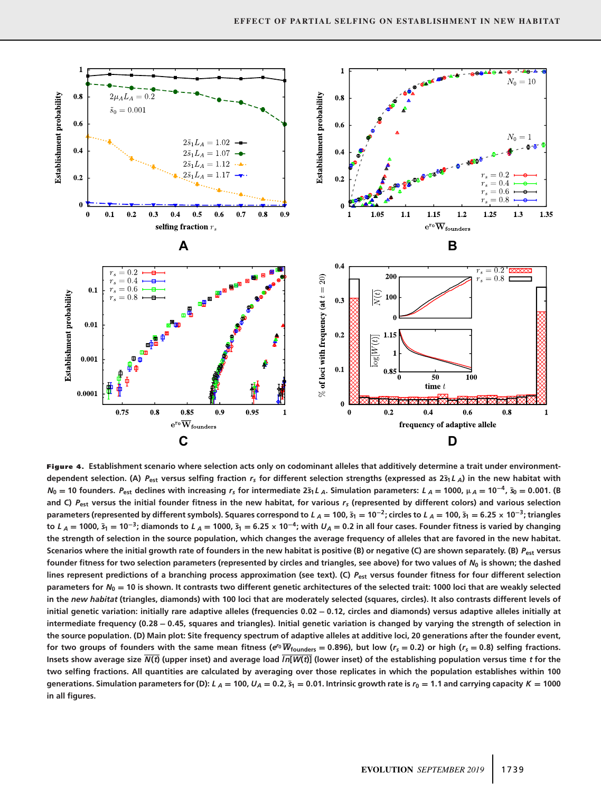

**Figure 4. Establishment scenario where selection acts only on codominant alleles that additively determine a trait under environmentdependent selection.** (A)  $P_{est}$  versus selfing fraction  $r_s$  for different selection strengths (expressed as  $2\tilde{s}_1 L_A$ ) in the new habitat with  $N_0 = 10$  founders.  $P_{est}$  declines with increasing  $r_s$  for intermediate  $25_1L_A$ . Simulation parameters:  $L_A = 1000$ ,  $\mu_A = 10^{-4}$ ,  $\tilde{s}_0 = 0.001$ . (B **and C)** *P***est versus the initial founder fitness in the new habitat, for various** *rs* **(represented by different colors) and various selection** parameters (represented by different symbols). Squares correspond to  $L_A = 100$ ,  $\tilde{s}_1 = 10^{-2}$ ; circles to  $L_A = 100$ ,  $\tilde{s}_1 = 6.25 \times 10^{-3}$ ; triangles to  $L_A = 1000$ ,  $\tilde{s}_1 = 10^{-3}$ ; diamonds to  $L_A = 1000$ ,  $\tilde{s}_1 = 6.25 \times 10^{-4}$ ; with  $U_A = 0.2$  in all four cases. Founder fitness is varied by changing **the strength of selection in the source population, which changes the average frequency of alleles that are favored in the new habitat. Scenarios where the initial growth rate of founders in the new habitat is positive (B) or negative (C) are shown separately. (B)** *P***est versus founder fitness for two selection parameters (represented by circles and triangles, see above) for two values of** *N***<sup>0</sup> is shown; the dashed lines represent predictions of a branching process approximation (see text). (C)** *P***est versus founder fitness for four different selection parameters for** *N***<sup>0</sup> = 10 is shown. It contrasts two different genetic architectures of the selected trait: 1000 loci that are weakly selected in the** *new habitat* **(triangles, diamonds) with 100 loci that are moderately selected (squares, circles). It also contrasts different levels of initial genetic variation: initially rare adaptive alleles (frequencies 0.02 − 0.12, circles and diamonds) versus adaptive alleles initially at intermediate frequency (0.28 − 0.45, squares and triangles). Initial genetic variation is changed by varying the strength of selection in the source population. (D) Main plot: Site frequency spectrum of adaptive alleles at additive loci, 20 generations after the founder event,** for two groups of founders with the same mean fitness ( $e^{r_0}\overline{W}_{\text{founders}} = 0.896$ ), but low ( $r_s = 0.2$ ) or high ( $r_s = 0.8$ ) selfing fractions. Insets show average size  $\overline{N(t)}$  (upper inset) and average load  $\overline{In[W(t)]}$  (lower inset) of the establishing population versus time t for the **two selfing fractions. All quantities are calculated by averaging over those replicates in which the population establishes within 100** generations. Simulation parameters for (D):  $L_A = 100$ ,  $U_A = 0.2$ ,  $\tilde{s}_1 = 0.01$ . Intrinsic growth rate is  $r_0 = 1.1$  and carrying capacity  $K = 1000$ **in all figures.**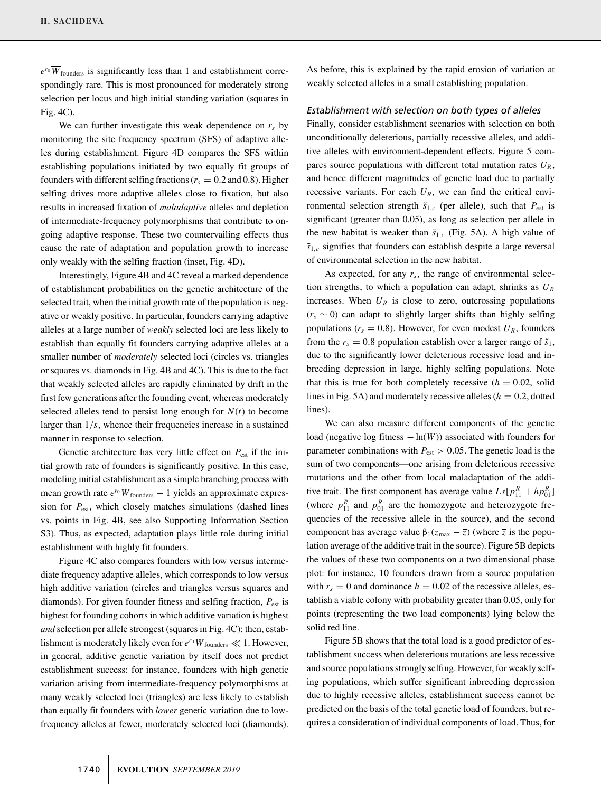$e^{r_0}\overline{W}_{\text{founders}}$  is significantly less than 1 and establishment correspondingly rare. This is most pronounced for moderately strong selection per locus and high initial standing variation (squares in Fig. 4C).

We can further investigate this weak dependence on  $r<sub>s</sub>$  by monitoring the site frequency spectrum (SFS) of adaptive alleles during establishment. Figure 4D compares the SFS within establishing populations initiated by two equally fit groups of founders with different selfing fractions ( $r_s = 0.2$  and 0.8). Higher selfing drives more adaptive alleles close to fixation, but also results in increased fixation of *maladaptive* alleles and depletion of intermediate-frequency polymorphisms that contribute to ongoing adaptive response. These two countervailing effects thus cause the rate of adaptation and population growth to increase only weakly with the selfing fraction (inset, Fig. 4D).

Interestingly, Figure 4B and 4C reveal a marked dependence of establishment probabilities on the genetic architecture of the selected trait, when the initial growth rate of the population is negative or weakly positive. In particular, founders carrying adaptive alleles at a large number of *weakly* selected loci are less likely to establish than equally fit founders carrying adaptive alleles at a smaller number of *moderately* selected loci (circles vs. triangles or squares vs. diamonds in Fig. 4B and 4C). This is due to the fact that weakly selected alleles are rapidly eliminated by drift in the first few generations after the founding event, whereas moderately selected alleles tend to persist long enough for  $N(t)$  to become larger than 1*/s*, whence their frequencies increase in a sustained manner in response to selection.

Genetic architecture has very little effect on  $P_{est}$  if the initial growth rate of founders is significantly positive. In this case, modeling initial establishment as a simple branching process with mean growth rate  $e^{r_0}\overline{W}_{\text{founders}} - 1$  yields an approximate expression for *P*est, which closely matches simulations (dashed lines vs. points in Fig. 4B, see also Supporting Information Section S3). Thus, as expected, adaptation plays little role during initial establishment with highly fit founders.

Figure 4C also compares founders with low versus intermediate frequency adaptive alleles, which corresponds to low versus high additive variation (circles and triangles versus squares and diamonds). For given founder fitness and selfing fraction,  $P_{est}$  is highest for founding cohorts in which additive variation is highest *and* selection per allele strongest (squares in Fig. 4C): then, establishment is moderately likely even for  $e^{r_0} \overline{W}_{\text{founders}} \ll 1$ . However, in general, additive genetic variation by itself does not predict establishment success: for instance, founders with high genetic variation arising from intermediate-frequency polymorphisms at many weakly selected loci (triangles) are less likely to establish than equally fit founders with *lower* genetic variation due to lowfrequency alleles at fewer, moderately selected loci (diamonds).

As before, this is explained by the rapid erosion of variation at weakly selected alleles in a small establishing population.

#### *Establishment with selection on both types of alleles*

Finally, consider establishment scenarios with selection on both unconditionally deleterious, partially recessive alleles, and additive alleles with environment-dependent effects. Figure 5 compares source populations with different total mutation rates  $U_R$ , and hence different magnitudes of genetic load due to partially recessive variants. For each  $U_R$ , we can find the critical environmental selection strength  $\tilde{s}_{1,c}$  (per allele), such that  $P_{est}$  is significant (greater than 0.05), as long as selection per allele in the new habitat is weaker than  $\tilde{s}_{1,c}$  (Fig. 5A). A high value of  $\tilde{s}_{1,c}$  signifies that founders can establish despite a large reversal of environmental selection in the new habitat.

As expected, for any  $r<sub>s</sub>$ , the range of environmental selection strengths, to which a population can adapt, shrinks as *UR* increases. When  $U_R$  is close to zero, outcrossing populations (*rs* ∼ 0) can adapt to slightly larger shifts than highly selfing populations ( $r_s = 0.8$ ). However, for even modest  $U_R$ , founders from the  $r_s = 0.8$  population establish over a larger range of  $\tilde{s}_1$ , due to the significantly lower deleterious recessive load and inbreeding depression in large, highly selfing populations. Note that this is true for both completely recessive  $(h = 0.02, \text{ solid})$ lines in Fig. 5A) and moderately recessive alleles  $(h = 0.2, \text{dotted})$ lines).

We can also measure different components of the genetic load (negative log fitness  $-\ln(W)$ ) associated with founders for parameter combinations with  $P_{est} > 0.05$ . The genetic load is the sum of two components—one arising from deleterious recessive mutations and the other from local maladaptation of the additive trait. The first component has average value  $Ls[p_{11}^R + hp_{01}^R]$ (where  $p_{11}^R$  and  $p_{01}^R$  are the homozygote and heterozygote frequencies of the recessive allele in the source), and the second component has average value  $β_1(z_{max} - \overline{z})$  (where  $\overline{z}$  is the population average of the additive trait in the source). Figure 5B depicts the values of these two components on a two dimensional phase plot: for instance, 10 founders drawn from a source population with  $r_s = 0$  and dominance  $h = 0.02$  of the recessive alleles, establish a viable colony with probability greater than 0.05, only for points (representing the two load components) lying below the solid red line.

Figure 5B shows that the total load is a good predictor of establishment success when deleterious mutations are less recessive and source populations strongly selfing. However, for weakly selfing populations, which suffer significant inbreeding depression due to highly recessive alleles, establishment success cannot be predicted on the basis of the total genetic load of founders, but requires a consideration of individual components of load. Thus, for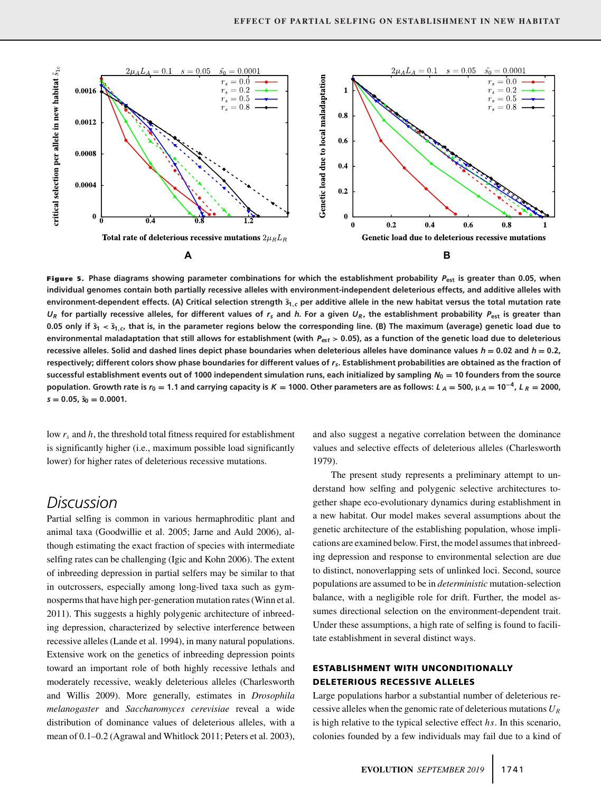

**Figure 5. Phase diagrams showing parameter combinations for which the establishment probability** *P***est is greater than 0.05, when individual genomes contain both partially recessive alleles with environment-independent deleterious effects, and additive alleles with environment-dependent effects. (A) Critical selection strength ˜***s***1,***<sup>c</sup>* **per additive allele in the new habitat versus the total mutation rate**  $U_R$  for partially recessive alleles, for different values of  $r_s$  and *h*. For a given  $U_R$ , the establishment probability  $P_{est}$  is greater than 0.05 only if  $\tilde{s}_1 < \tilde{s}_1$ <sub>c</sub>, that is, in the parameter regions below the corresponding line. (B) The maximum (average) genetic load due to **environmental maladaptation that still allows for establishment (with** *Pest* **> 0.05), as a function of the genetic load due to deleterious recessive alleles. Solid and dashed lines depict phase boundaries when deleterious alleles have dominance values** *h* **= 0.02 and** *h* **= 0.2, respectively; different colors show phase boundaries for different values of** *rs***. Establishment probabilities are obtained as the fraction of successful establishment events out of 1000 independent simulation runs, each initialized by sampling** *N***<sup>0</sup> = 10 founders from the source** population. Growth rate is  $r_0 = 1.1$  and carrying capacity is  $K = 1000$ . Other parameters are as follows:  $L_A = 500$ ,  $\mu_A = 10^{-4}$ ,  $L_R = 2000$ , *s* **= 0.05, ˜***s***<sup>0</sup> = 0.0001.**

low *rs* and *h*, the threshold total fitness required for establishment is significantly higher (i.e., maximum possible load significantly lower) for higher rates of deleterious recessive mutations.

# *Discussion*

Partial selfing is common in various hermaphroditic plant and animal taxa (Goodwillie et al. 2005; Jarne and Auld 2006), although estimating the exact fraction of species with intermediate selfing rates can be challenging (Igic and Kohn 2006). The extent of inbreeding depression in partial selfers may be similar to that in outcrossers, especially among long-lived taxa such as gymnosperms that have high per-generation mutation rates (Winn et al. 2011). This suggests a highly polygenic architecture of inbreeding depression, characterized by selective interference between recessive alleles (Lande et al. 1994), in many natural populations. Extensive work on the genetics of inbreeding depression points toward an important role of both highly recessive lethals and moderately recessive, weakly deleterious alleles (Charlesworth and Willis 2009). More generally, estimates in *Drosophila melanogaster* and *Saccharomyces cerevisiae* reveal a wide distribution of dominance values of deleterious alleles, with a mean of 0.1–0.2 (Agrawal and Whitlock 2011; Peters et al. 2003), and also suggest a negative correlation between the dominance values and selective effects of deleterious alleles (Charlesworth 1979).

The present study represents a preliminary attempt to understand how selfing and polygenic selective architectures together shape eco-evolutionary dynamics during establishment in a new habitat. Our model makes several assumptions about the genetic architecture of the establishing population, whose implications are examined below. First, the model assumes that inbreeding depression and response to environmental selection are due to distinct, nonoverlapping sets of unlinked loci. Second, source populations are assumed to be in *deterministic* mutation-selection balance, with a negligible role for drift. Further, the model assumes directional selection on the environment-dependent trait. Under these assumptions, a high rate of selfing is found to facilitate establishment in several distinct ways.

## **ESTABLISHMENT WITH UNCONDITIONALLY DELETERIOUS RECESSIVE ALLELES**

Large populations harbor a substantial number of deleterious recessive alleles when the genomic rate of deleterious mutations *UR* is high relative to the typical selective effect *hs*. In this scenario, colonies founded by a few individuals may fail due to a kind of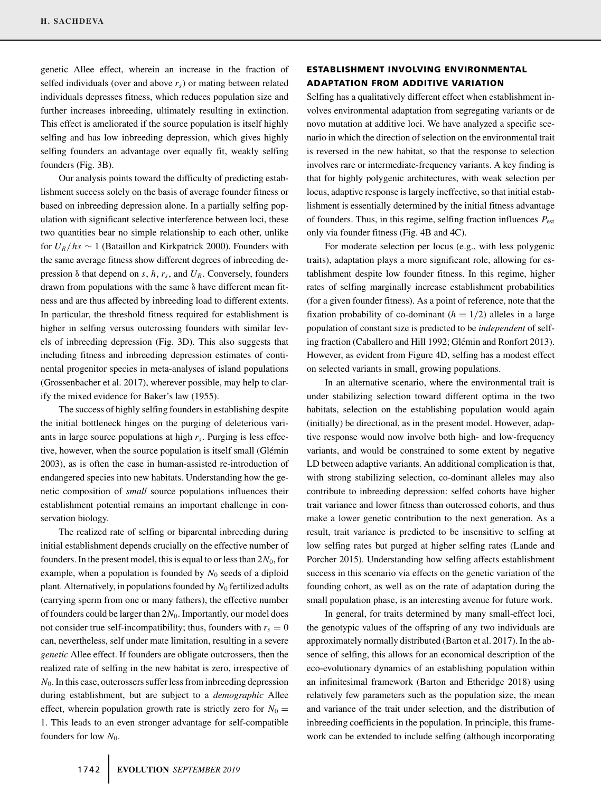genetic Allee effect, wherein an increase in the fraction of selfed individuals (over and above *rs*) or mating between related individuals depresses fitness, which reduces population size and further increases inbreeding, ultimately resulting in extinction. This effect is ameliorated if the source population is itself highly selfing and has low inbreeding depression, which gives highly selfing founders an advantage over equally fit, weakly selfing founders (Fig. 3B).

Our analysis points toward the difficulty of predicting establishment success solely on the basis of average founder fitness or based on inbreeding depression alone. In a partially selfing population with significant selective interference between loci, these two quantities bear no simple relationship to each other, unlike for  $U_R/hs \sim 1$  (Bataillon and Kirkpatrick 2000). Founders with the same average fitness show different degrees of inbreeding depression δ that depend on *s*, *h*, *rs*, and *UR*. Conversely, founders drawn from populations with the same δ have different mean fitness and are thus affected by inbreeding load to different extents. In particular, the threshold fitness required for establishment is higher in selfing versus outcrossing founders with similar levels of inbreeding depression (Fig. 3D). This also suggests that including fitness and inbreeding depression estimates of continental progenitor species in meta-analyses of island populations (Grossenbacher et al. 2017), wherever possible, may help to clarify the mixed evidence for Baker's law (1955).

The success of highly selfing founders in establishing despite the initial bottleneck hinges on the purging of deleterious variants in large source populations at high  $r<sub>s</sub>$ . Purging is less effective, however, when the source population is itself small (Glémin 2003), as is often the case in human-assisted re-introduction of endangered species into new habitats. Understanding how the genetic composition of *small* source populations influences their establishment potential remains an important challenge in conservation biology.

The realized rate of selfing or biparental inbreeding during initial establishment depends crucially on the effective number of founders. In the present model, this is equal to or less than  $2N_0$ , for example, when a population is founded by  $N_0$  seeds of a diploid plant. Alternatively, in populations founded by  $N_0$  fertilized adults (carrying sperm from one or many fathers), the effective number of founders could be larger than 2*N*0. Importantly, our model does not consider true self-incompatibility; thus, founders with  $r_s = 0$ can, nevertheless, self under mate limitation, resulting in a severe *genetic* Allee effect. If founders are obligate outcrossers, then the realized rate of selfing in the new habitat is zero, irrespective of *N*0. In this case, outcrossers suffer less from inbreeding depression during establishment, but are subject to a *demographic* Allee effect, wherein population growth rate is strictly zero for  $N_0 =$ 1. This leads to an even stronger advantage for self-compatible founders for low  $N_0$ .

## **ESTABLISHMENT INVOLVING ENVIRONMENTAL ADAPTATION FROM ADDITIVE VARIATION**

Selfing has a qualitatively different effect when establishment involves environmental adaptation from segregating variants or de novo mutation at additive loci. We have analyzed a specific scenario in which the direction of selection on the environmental trait is reversed in the new habitat, so that the response to selection involves rare or intermediate-frequency variants. A key finding is that for highly polygenic architectures, with weak selection per locus, adaptive response is largely ineffective, so that initial establishment is essentially determined by the initial fitness advantage of founders. Thus, in this regime, selfing fraction influences *P*est only via founder fitness (Fig. 4B and 4C).

For moderate selection per locus (e.g., with less polygenic traits), adaptation plays a more significant role, allowing for establishment despite low founder fitness. In this regime, higher rates of selfing marginally increase establishment probabilities (for a given founder fitness). As a point of reference, note that the fixation probability of co-dominant  $(h = 1/2)$  alleles in a large population of constant size is predicted to be *independent* of selfing fraction (Caballero and Hill 1992; Glémin and Ronfort 2013). However, as evident from Figure 4D, selfing has a modest effect on selected variants in small, growing populations.

In an alternative scenario, where the environmental trait is under stabilizing selection toward different optima in the two habitats, selection on the establishing population would again (initially) be directional, as in the present model. However, adaptive response would now involve both high- and low-frequency variants, and would be constrained to some extent by negative LD between adaptive variants. An additional complication is that, with strong stabilizing selection, co-dominant alleles may also contribute to inbreeding depression: selfed cohorts have higher trait variance and lower fitness than outcrossed cohorts, and thus make a lower genetic contribution to the next generation. As a result, trait variance is predicted to be insensitive to selfing at low selfing rates but purged at higher selfing rates (Lande and Porcher 2015). Understanding how selfing affects establishment success in this scenario via effects on the genetic variation of the founding cohort, as well as on the rate of adaptation during the small population phase, is an interesting avenue for future work.

In general, for traits determined by many small-effect loci, the genotypic values of the offspring of any two individuals are approximately normally distributed (Barton et al. 2017). In the absence of selfing, this allows for an economical description of the eco-evolutionary dynamics of an establishing population within an infinitesimal framework (Barton and Etheridge 2018) using relatively few parameters such as the population size, the mean and variance of the trait under selection, and the distribution of inbreeding coefficients in the population. In principle, this framework can be extended to include selfing (although incorporating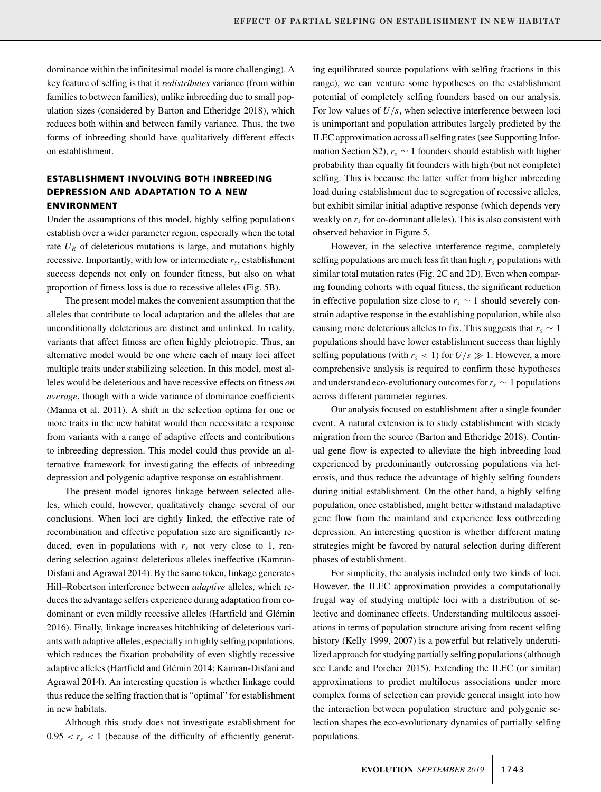dominance within the infinitesimal model is more challenging). A key feature of selfing is that it *redistributes* variance (from within families to between families), unlike inbreeding due to small population sizes (considered by Barton and Etheridge 2018), which reduces both within and between family variance. Thus, the two forms of inbreeding should have qualitatively different effects on establishment.

# **ESTABLISHMENT INVOLVING BOTH INBREEDING DEPRESSION AND ADAPTATION TO A NEW ENVIRONMENT**

Under the assumptions of this model, highly selfing populations establish over a wider parameter region, especially when the total rate  $U_R$  of deleterious mutations is large, and mutations highly recessive. Importantly, with low or intermediate  $r<sub>s</sub>$ , establishment success depends not only on founder fitness, but also on what proportion of fitness loss is due to recessive alleles (Fig. 5B).

The present model makes the convenient assumption that the alleles that contribute to local adaptation and the alleles that are unconditionally deleterious are distinct and unlinked. In reality, variants that affect fitness are often highly pleiotropic. Thus, an alternative model would be one where each of many loci affect multiple traits under stabilizing selection. In this model, most alleles would be deleterious and have recessive effects on fitness *on average*, though with a wide variance of dominance coefficients (Manna et al. 2011). A shift in the selection optima for one or more traits in the new habitat would then necessitate a response from variants with a range of adaptive effects and contributions to inbreeding depression. This model could thus provide an alternative framework for investigating the effects of inbreeding depression and polygenic adaptive response on establishment.

The present model ignores linkage between selected alleles, which could, however, qualitatively change several of our conclusions. When loci are tightly linked, the effective rate of recombination and effective population size are significantly reduced, even in populations with  $r<sub>s</sub>$  not very close to 1, rendering selection against deleterious alleles ineffective (Kamran-Disfani and Agrawal 2014). By the same token, linkage generates Hill–Robertson interference between *adaptive* alleles, which reduces the advantage selfers experience during adaptation from codominant or even mildly recessive alleles (Hartfield and Glémin 2016). Finally, linkage increases hitchhiking of deleterious variants with adaptive alleles, especially in highly selfing populations, which reduces the fixation probability of even slightly recessive adaptive alleles (Hartfield and Glémin 2014; Kamran-Disfani and Agrawal 2014). An interesting question is whether linkage could thus reduce the selfing fraction that is "optimal" for establishment in new habitats.

Although this study does not investigate establishment for  $0.95 < r_s < 1$  (because of the difficulty of efficiently generating equilibrated source populations with selfing fractions in this range), we can venture some hypotheses on the establishment potential of completely selfing founders based on our analysis. For low values of *U/s*, when selective interference between loci is unimportant and population attributes largely predicted by the ILEC approximation across all selfing rates (see Supporting Information Section S2),  $r_s \sim 1$  founders should establish with higher probability than equally fit founders with high (but not complete) selfing. This is because the latter suffer from higher inbreeding load during establishment due to segregation of recessive alleles, but exhibit similar initial adaptive response (which depends very weakly on  $r<sub>s</sub>$  for co-dominant alleles). This is also consistent with observed behavior in Figure 5.

However, in the selective interference regime, completely selfing populations are much less fit than high  $r_s$  populations with similar total mutation rates (Fig. 2C and 2D). Even when comparing founding cohorts with equal fitness, the significant reduction in effective population size close to  $r_s \sim 1$  should severely constrain adaptive response in the establishing population, while also causing more deleterious alleles to fix. This suggests that  $r_s \sim 1$ populations should have lower establishment success than highly selfing populations (with  $r_s$  < 1) for  $U/s \gg 1$ . However, a more comprehensive analysis is required to confirm these hypotheses and understand eco-evolutionary outcomes for  $r_s \sim 1$  populations across different parameter regimes.

Our analysis focused on establishment after a single founder event. A natural extension is to study establishment with steady migration from the source (Barton and Etheridge 2018). Continual gene flow is expected to alleviate the high inbreeding load experienced by predominantly outcrossing populations via heterosis, and thus reduce the advantage of highly selfing founders during initial establishment. On the other hand, a highly selfing population, once established, might better withstand maladaptive gene flow from the mainland and experience less outbreeding depression. An interesting question is whether different mating strategies might be favored by natural selection during different phases of establishment.

For simplicity, the analysis included only two kinds of loci. However, the ILEC approximation provides a computationally frugal way of studying multiple loci with a distribution of selective and dominance effects. Understanding multilocus associations in terms of population structure arising from recent selfing history (Kelly 1999, 2007) is a powerful but relatively underutilized approach for studying partially selfing populations (although see Lande and Porcher 2015). Extending the ILEC (or similar) approximations to predict multilocus associations under more complex forms of selection can provide general insight into how the interaction between population structure and polygenic selection shapes the eco-evolutionary dynamics of partially selfing populations.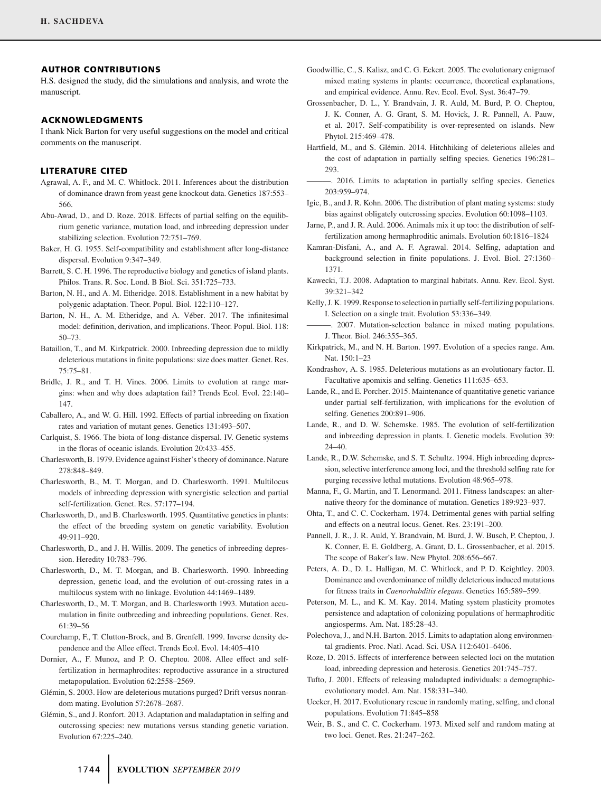#### **AUTHOR CONTRIBUTIONS**

H.S. designed the study, did the simulations and analysis, and wrote the manuscript.

#### **ACKNOWLEDGMENTS**

I thank Nick Barton for very useful suggestions on the model and critical comments on the manuscript.

#### **LITERATURE CITED**

- Agrawal, A. F., and M. C. Whitlock. 2011. Inferences about the distribution of dominance drawn from yeast gene knockout data. Genetics 187:553– 566.
- Abu-Awad, D., and D. Roze. 2018. Effects of partial selfing on the equilibrium genetic variance, mutation load, and inbreeding depression under stabilizing selection. Evolution 72:751–769.
- Baker, H. G. 1955. Self-compatibility and establishment after long-distance dispersal. Evolution 9:347–349.
- Barrett, S. C. H. 1996. The reproductive biology and genetics of island plants. Philos. Trans. R. Soc. Lond. B Biol. Sci. 351:725–733.
- Barton, N. H., and A. M. Etheridge. 2018. Establishment in a new habitat by polygenic adaptation. Theor. Popul. Biol. 122:110–127.
- Barton, N. H., A. M. Etheridge, and A. Véber. 2017. The infinitesimal model: definition, derivation, and implications. Theor. Popul. Biol. 118: 50–73.
- Bataillon, T., and M. Kirkpatrick. 2000. Inbreeding depression due to mildly deleterious mutations in finite populations: size does matter. Genet. Res. 75:75–81.
- Bridle, J. R., and T. H. Vines. 2006. Limits to evolution at range margins: when and why does adaptation fail? Trends Ecol. Evol. 22:140– 147.
- Caballero, A., and W. G. Hill. 1992. Effects of partial inbreeding on fixation rates and variation of mutant genes. Genetics 131:493–507.
- Carlquist, S. 1966. The biota of long-distance dispersal. IV. Genetic systems in the floras of oceanic islands. Evolution 20:433–455.
- Charlesworth, B. 1979. Evidence against Fisher's theory of dominance. Nature 278:848–849.
- Charlesworth, B., M. T. Morgan, and D. Charlesworth. 1991. Multilocus models of inbreeding depression with synergistic selection and partial self-fertilization. Genet. Res. 57:177–194.
- Charlesworth, D., and B. Charlesworth. 1995. Quantitative genetics in plants: the effect of the breeding system on genetic variability. Evolution 49:911–920.
- Charlesworth, D., and J. H. Willis. 2009. The genetics of inbreeding depression. Heredity 10:783–796.
- Charlesworth, D., M. T. Morgan, and B. Charlesworth. 1990. Inbreeding depression, genetic load, and the evolution of out-crossing rates in a multilocus system with no linkage. Evolution 44:1469–1489.
- Charlesworth, D., M. T. Morgan, and B. Charlesworth 1993. Mutation accumulation in finite outbreeding and inbreeding populations. Genet. Res. 61:39–56
- Courchamp, F., T. Clutton-Brock, and B. Grenfell. 1999. Inverse density dependence and the Allee effect. Trends Ecol. Evol. 14:405–410
- Dornier, A., F. Munoz, and P. O. Cheptou. 2008. Allee effect and selffertilization in hermaphrodites: reproductive assurance in a structured metapopulation. Evolution 62:2558–2569.
- Glémin, S. 2003. How are deleterious mutations purged? Drift versus nonrandom mating. Evolution 57:2678–2687.
- Glémin, S., and J. Ronfort. 2013. Adaptation and maladaptation in selfing and outcrossing species: new mutations versus standing genetic variation. Evolution 67:225–240.
- Goodwillie, C., S. Kalisz, and C. G. Eckert. 2005. The evolutionary enigmaof mixed mating systems in plants: occurrence, theoretical explanations, and empirical evidence. Annu. Rev. Ecol. Evol. Syst. 36:47–79.
- Grossenbacher, D. L., Y. Brandvain, J. R. Auld, M. Burd, P. O. Cheptou, J. K. Conner, A. G. Grant, S. M. Hovick, J. R. Pannell, A. Pauw, et al. 2017. Self-compatibility is over-represented on islands. New Phytol. 215:469–478.
- Hartfield, M., and S. Glémin. 2014. Hitchhiking of deleterious alleles and the cost of adaptation in partially selfing species. Genetics 196:281– 293.
- ———. 2016. Limits to adaptation in partially selfing species. Genetics 203:959–974.
- Igic, B., and J. R. Kohn. 2006. The distribution of plant mating systems: study bias against obligately outcrossing species. Evolution 60:1098–1103.
- Jarne, P., and J. R. Auld. 2006. Animals mix it up too: the distribution of selffertilization among hermaphroditic animals. Evolution 60:1816–1824
- Kamran-Disfani, A., and A. F. Agrawal. 2014. Selfing, adaptation and background selection in finite populations. J. Evol. Biol. 27:1360– 1371.
- Kawecki, T.J. 2008. Adaptation to marginal habitats. Annu. Rev. Ecol. Syst. 39:321–342
- Kelly, J. K. 1999. Response to selection in partially self-fertilizing populations. I. Selection on a single trait. Evolution 53:336–349.
- -. 2007. Mutation-selection balance in mixed mating populations. J. Theor. Biol. 246:355–365.
- Kirkpatrick, M., and N. H. Barton. 1997. Evolution of a species range. Am. Nat. 150:1–23
- Kondrashov, A. S. 1985. Deleterious mutations as an evolutionary factor. II. Facultative apomixis and selfing. Genetics 111:635–653.
- Lande, R., and E. Porcher. 2015. Maintenance of quantitative genetic variance under partial self-fertilization, with implications for the evolution of selfing. Genetics 200:891–906.
- Lande, R., and D. W. Schemske. 1985. The evolution of self-fertilization and inbreeding depression in plants. I. Genetic models. Evolution 39: 24–40.
- Lande, R., D.W. Schemske, and S. T. Schultz. 1994. High inbreeding depression, selective interference among loci, and the threshold selfing rate for purging recessive lethal mutations. Evolution 48:965–978.
- Manna, F., G. Martin, and T. Lenormand. 2011. Fitness landscapes: an alternative theory for the dominance of mutation. Genetics 189:923–937.
- Ohta, T., and C. C. Cockerham. 1974. Detrimental genes with partial selfing and effects on a neutral locus. Genet. Res. 23:191–200.
- Pannell, J. R., J. R. Auld, Y. Brandvain, M. Burd, J. W. Busch, P. Cheptou, J. K. Conner, E. E. Goldberg, A. Grant, D. L. Grossenbacher, et al. 2015. The scope of Baker's law. New Phytol. 208:656–667.
- Peters, A. D., D. L. Halligan, M. C. Whitlock, and P. D. Keightley. 2003. Dominance and overdominance of mildly deleterious induced mutations for fitness traits in *Caenorhabditis elegans*. Genetics 165:589–599.
- Peterson, M. L., and K. M. Kay. 2014. Mating system plasticity promotes persistence and adaptation of colonizing populations of hermaphroditic angiosperms. Am. Nat. 185:28–43.
- Polechova, J., and N.H. Barton. 2015. Limits to adaptation along environmental gradients. Proc. Natl. Acad. Sci. USA 112:6401–6406.
- Roze, D. 2015. Effects of interference between selected loci on the mutation load, inbreeding depression and heterosis. Genetics 201:745–757.
- Tufto, J. 2001. Effects of releasing maladapted individuals: a demographicevolutionary model. Am. Nat. 158:331–340.
- Uecker, H. 2017. Evolutionary rescue in randomly mating, selfing, and clonal populations. Evolution 71:845–858
- Weir, B. S., and C. C. Cockerham. 1973. Mixed self and random mating at two loci. Genet. Res. 21:247–262.